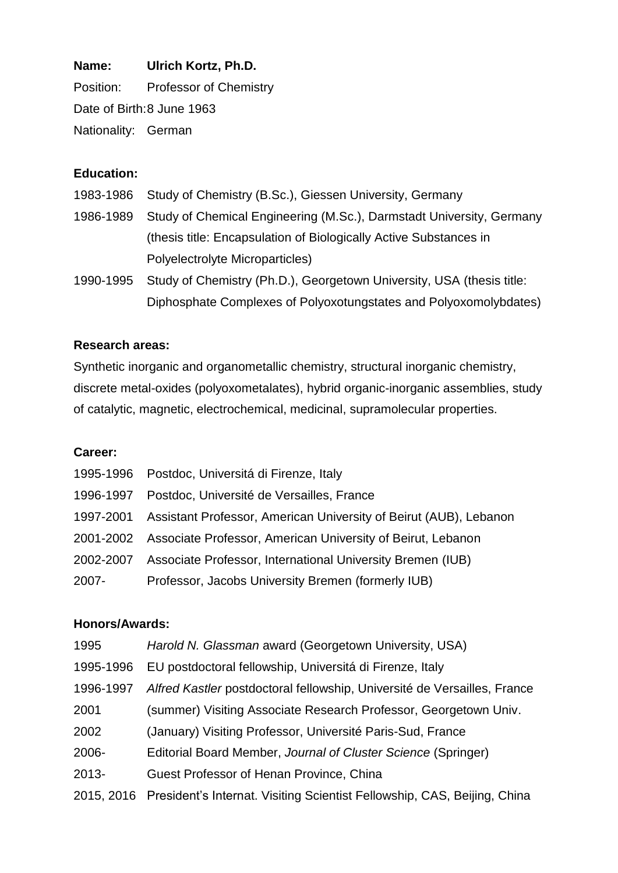**Name: Ulrich Kortz, Ph.D.** Position: Professor of Chemistry Date of Birth:8 June 1963 Nationality: German

# **Education:**

- 1983-1986 Study of Chemistry (B.Sc.), Giessen University, Germany
- 1986-1989 Study of Chemical Engineering (M.Sc.), Darmstadt University, Germany (thesis title: Encapsulation of Biologically Active Substances in Polyelectrolyte Microparticles)
- 1990-1995 Study of Chemistry (Ph.D.), Georgetown University, USA (thesis title: Diphosphate Complexes of Polyoxotungstates and Polyoxomolybdates)

### **Research areas:**

Synthetic inorganic and organometallic chemistry, structural inorganic chemistry, discrete metal-oxides (polyoxometalates), hybrid organic-inorganic assemblies, study of catalytic, magnetic, electrochemical, medicinal, supramolecular properties.

#### **Career:**

|           | 1995-1996 Postdoc, Universitá di Firenze, Italy                   |
|-----------|-------------------------------------------------------------------|
| 1996-1997 | Postdoc, Université de Versailles, France                         |
| 1997-2001 | Assistant Professor, American University of Beirut (AUB), Lebanon |
| 2001-2002 | Associate Professor, American University of Beirut, Lebanon       |
| 2002-2007 | Associate Professor, International University Bremen (IUB)        |
| 2007-     | Professor, Jacobs University Bremen (formerly IUB)                |

#### **Honors/Awards:**

| 1995      | Harold N. Glassman award (Georgetown University, USA)                               |
|-----------|-------------------------------------------------------------------------------------|
| 1995-1996 | EU postdoctoral fellowship, Universitá di Firenze, Italy                            |
| 1996-1997 | Alfred Kastler postdoctoral fellowship, Université de Versailles, France            |
| 2001      | (summer) Visiting Associate Research Professor, Georgetown Univ.                    |
| 2002      | (January) Visiting Professor, Université Paris-Sud, France                          |
| 2006-     | Editorial Board Member, Journal of Cluster Science (Springer)                       |
| 2013-     | Guest Professor of Henan Province, China                                            |
|           | 2015, 2016 President's Internat. Visiting Scientist Fellowship, CAS, Beijing, China |